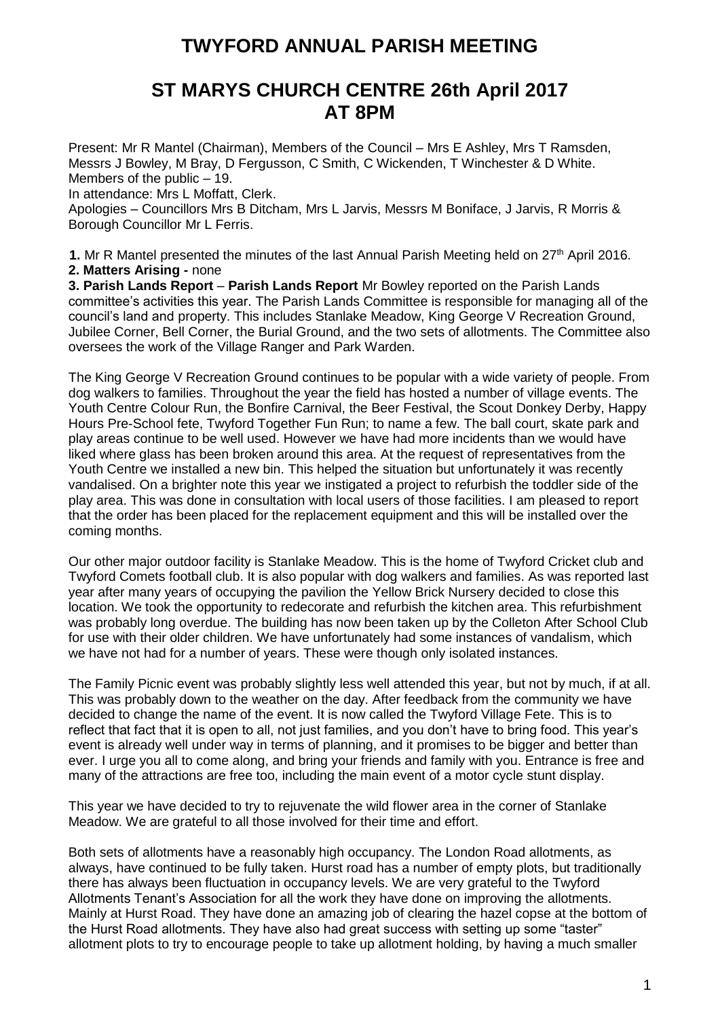# **TWYFORD ANNUAL PARISH MEETING**

# **ST MARYS CHURCH CENTRE 26th April 2017 AT 8PM**

Present: Mr R Mantel (Chairman), Members of the Council – Mrs E Ashley, Mrs T Ramsden, Messrs J Bowley, M Bray, D Fergusson, C Smith, C Wickenden, T Winchester & D White. Members of the public – 19.

In attendance: Mrs L Moffatt, Clerk.

Apologies – Councillors Mrs B Ditcham, Mrs L Jarvis, Messrs M Boniface, J Jarvis, R Morris & Borough Councillor Mr L Ferris.

**1.** Mr R Mantel presented the minutes of the last Annual Parish Meeting held on 27<sup>th</sup> April 2016. **2. Matters Arising -** none

**3. Parish Lands Report** – **Parish Lands Report** Mr Bowley reported on the Parish Lands committee's activities this year. The Parish Lands Committee is responsible for managing all of the council's land and property. This includes Stanlake Meadow, King George V Recreation Ground, Jubilee Corner, Bell Corner, the Burial Ground, and the two sets of allotments. The Committee also oversees the work of the Village Ranger and Park Warden.

The King George V Recreation Ground continues to be popular with a wide variety of people. From dog walkers to families. Throughout the year the field has hosted a number of village events. The Youth Centre Colour Run, the Bonfire Carnival, the Beer Festival, the Scout Donkey Derby, Happy Hours Pre-School fete, Twyford Together Fun Run; to name a few. The ball court, skate park and play areas continue to be well used. However we have had more incidents than we would have liked where glass has been broken around this area. At the request of representatives from the Youth Centre we installed a new bin. This helped the situation but unfortunately it was recently vandalised. On a brighter note this year we instigated a project to refurbish the toddler side of the play area. This was done in consultation with local users of those facilities. I am pleased to report that the order has been placed for the replacement equipment and this will be installed over the coming months.

Our other major outdoor facility is Stanlake Meadow. This is the home of Twyford Cricket club and Twyford Comets football club. It is also popular with dog walkers and families. As was reported last year after many years of occupying the pavilion the Yellow Brick Nursery decided to close this location. We took the opportunity to redecorate and refurbish the kitchen area. This refurbishment was probably long overdue. The building has now been taken up by the Colleton After School Club for use with their older children. We have unfortunately had some instances of vandalism, which we have not had for a number of years. These were though only isolated instances.

The Family Picnic event was probably slightly less well attended this year, but not by much, if at all. This was probably down to the weather on the day. After feedback from the community we have decided to change the name of the event. It is now called the Twyford Village Fete. This is to reflect that fact that it is open to all, not just families, and you don't have to bring food. This year's event is already well under way in terms of planning, and it promises to be bigger and better than ever. I urge you all to come along, and bring your friends and family with you. Entrance is free and many of the attractions are free too, including the main event of a motor cycle stunt display.

This year we have decided to try to rejuvenate the wild flower area in the corner of Stanlake Meadow. We are grateful to all those involved for their time and effort.

Both sets of allotments have a reasonably high occupancy. The London Road allotments, as always, have continued to be fully taken. Hurst road has a number of empty plots, but traditionally there has always been fluctuation in occupancy levels. We are very grateful to the Twyford Allotments Tenant's Association for all the work they have done on improving the allotments. Mainly at Hurst Road. They have done an amazing job of clearing the hazel copse at the bottom of the Hurst Road allotments. They have also had great success with setting up some "taster" allotment plots to try to encourage people to take up allotment holding, by having a much smaller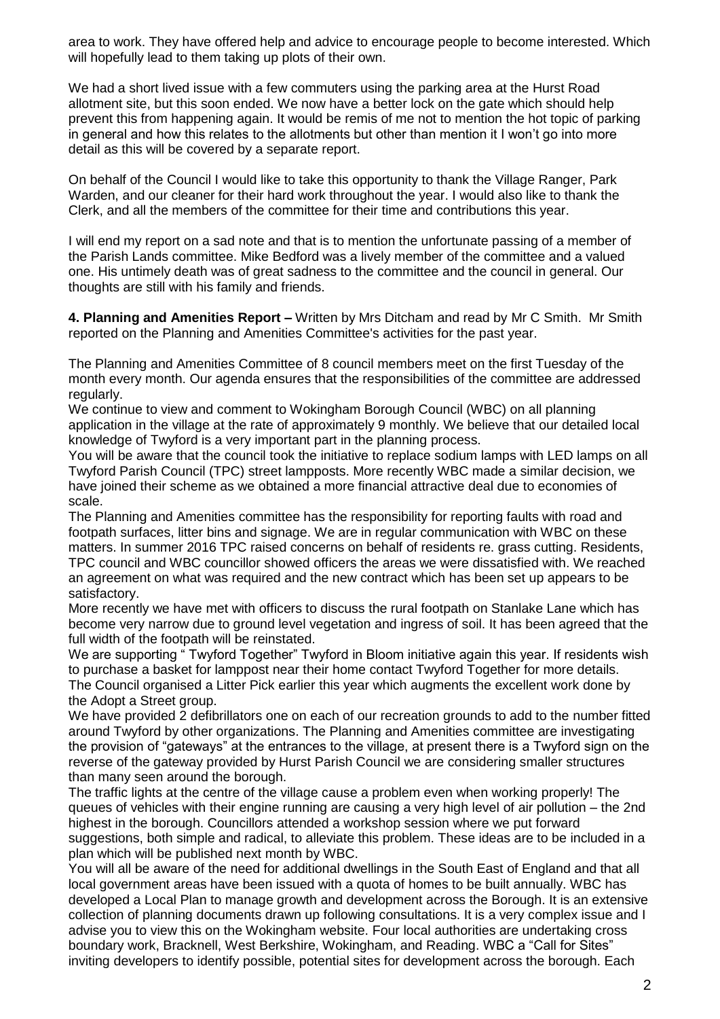area to work. They have offered help and advice to encourage people to become interested. Which will hopefully lead to them taking up plots of their own.

We had a short lived issue with a few commuters using the parking area at the Hurst Road allotment site, but this soon ended. We now have a better lock on the gate which should help prevent this from happening again. It would be remis of me not to mention the hot topic of parking in general and how this relates to the allotments but other than mention it I won't go into more detail as this will be covered by a separate report.

On behalf of the Council I would like to take this opportunity to thank the Village Ranger, Park Warden, and our cleaner for their hard work throughout the year. I would also like to thank the Clerk, and all the members of the committee for their time and contributions this year.

I will end my report on a sad note and that is to mention the unfortunate passing of a member of the Parish Lands committee. Mike Bedford was a lively member of the committee and a valued one. His untimely death was of great sadness to the committee and the council in general. Our thoughts are still with his family and friends.

**4. Planning and Amenities Report –** Written by Mrs Ditcham and read by Mr C Smith. Mr Smith reported on the Planning and Amenities Committee's activities for the past year.

The Planning and Amenities Committee of 8 council members meet on the first Tuesday of the month every month. Our agenda ensures that the responsibilities of the committee are addressed regularly.

We continue to view and comment to Wokingham Borough Council (WBC) on all planning application in the village at the rate of approximately 9 monthly. We believe that our detailed local knowledge of Twyford is a very important part in the planning process.

You will be aware that the council took the initiative to replace sodium lamps with LED lamps on all Twyford Parish Council (TPC) street lampposts. More recently WBC made a similar decision, we have joined their scheme as we obtained a more financial attractive deal due to economies of scale.

The Planning and Amenities committee has the responsibility for reporting faults with road and footpath surfaces, litter bins and signage. We are in regular communication with WBC on these matters. In summer 2016 TPC raised concerns on behalf of residents re. grass cutting. Residents, TPC council and WBC councillor showed officers the areas we were dissatisfied with. We reached an agreement on what was required and the new contract which has been set up appears to be satisfactory.

More recently we have met with officers to discuss the rural footpath on Stanlake Lane which has become very narrow due to ground level vegetation and ingress of soil. It has been agreed that the full width of the footpath will be reinstated.

We are supporting " Twyford Together" Twyford in Bloom initiative again this year. If residents wish to purchase a basket for lamppost near their home contact Twyford Together for more details. The Council organised a Litter Pick earlier this year which augments the excellent work done by the Adopt a Street group.

We have provided 2 defibrillators one on each of our recreation grounds to add to the number fitted around Twyford by other organizations. The Planning and Amenities committee are investigating the provision of "gateways" at the entrances to the village, at present there is a Twyford sign on the reverse of the gateway provided by Hurst Parish Council we are considering smaller structures than many seen around the borough.

The traffic lights at the centre of the village cause a problem even when working properly! The queues of vehicles with their engine running are causing a very high level of air pollution – the 2nd highest in the borough. Councillors attended a workshop session where we put forward suggestions, both simple and radical, to alleviate this problem. These ideas are to be included in a plan which will be published next month by WBC.

You will all be aware of the need for additional dwellings in the South East of England and that all local government areas have been issued with a quota of homes to be built annually. WBC has developed a Local Plan to manage growth and development across the Borough. It is an extensive collection of planning documents drawn up following consultations. It is a very complex issue and I advise you to view this on the Wokingham website. Four local authorities are undertaking cross boundary work, Bracknell, West Berkshire, Wokingham, and Reading. WBC a "Call for Sites" inviting developers to identify possible, potential sites for development across the borough. Each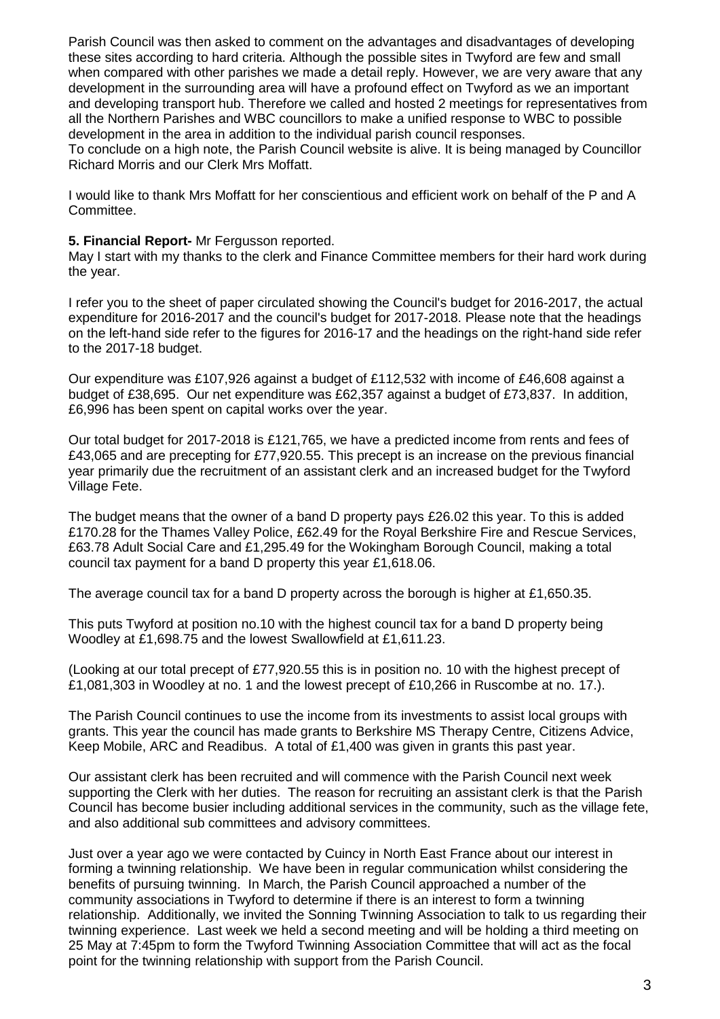Parish Council was then asked to comment on the advantages and disadvantages of developing these sites according to hard criteria. Although the possible sites in Twyford are few and small when compared with other parishes we made a detail reply. However, we are very aware that any development in the surrounding area will have a profound effect on Twyford as we an important and developing transport hub. Therefore we called and hosted 2 meetings for representatives from all the Northern Parishes and WBC councillors to make a unified response to WBC to possible development in the area in addition to the individual parish council responses.

To conclude on a high note, the Parish Council website is alive. It is being managed by Councillor Richard Morris and our Clerk Mrs Moffatt.

I would like to thank Mrs Moffatt for her conscientious and efficient work on behalf of the P and A Committee.

#### **5. Financial Report-** Mr Fergusson reported.

May I start with my thanks to the clerk and Finance Committee members for their hard work during the year.

I refer you to the sheet of paper circulated showing the Council's budget for 2016-2017, the actual expenditure for 2016-2017 and the council's budget for 2017-2018. Please note that the headings on the left-hand side refer to the figures for 2016-17 and the headings on the right-hand side refer to the 2017-18 budget.

Our expenditure was £107,926 against a budget of £112,532 with income of £46,608 against a budget of £38,695. Our net expenditure was £62,357 against a budget of £73,837. In addition, £6,996 has been spent on capital works over the year.

Our total budget for 2017-2018 is £121,765, we have a predicted income from rents and fees of £43,065 and are precepting for £77,920.55. This precept is an increase on the previous financial year primarily due the recruitment of an assistant clerk and an increased budget for the Twyford Village Fete.

The budget means that the owner of a band D property pays £26.02 this year. To this is added £170.28 for the Thames Valley Police, £62.49 for the Royal Berkshire Fire and Rescue Services, £63.78 Adult Social Care and £1,295.49 for the Wokingham Borough Council, making a total council tax payment for a band D property this year £1,618.06.

The average council tax for a band D property across the borough is higher at £1,650.35.

This puts Twyford at position no.10 with the highest council tax for a band D property being Woodley at £1,698.75 and the lowest Swallowfield at £1,611.23.

(Looking at our total precept of £77,920.55 this is in position no. 10 with the highest precept of £1,081,303 in Woodley at no. 1 and the lowest precept of £10,266 in Ruscombe at no. 17.).

The Parish Council continues to use the income from its investments to assist local groups with grants. This year the council has made grants to Berkshire MS Therapy Centre, Citizens Advice, Keep Mobile, ARC and Readibus. A total of £1,400 was given in grants this past year.

Our assistant clerk has been recruited and will commence with the Parish Council next week supporting the Clerk with her duties. The reason for recruiting an assistant clerk is that the Parish Council has become busier including additional services in the community, such as the village fete, and also additional sub committees and advisory committees.

Just over a year ago we were contacted by Cuincy in North East France about our interest in forming a twinning relationship. We have been in regular communication whilst considering the benefits of pursuing twinning. In March, the Parish Council approached a number of the community associations in Twyford to determine if there is an interest to form a twinning relationship. Additionally, we invited the Sonning Twinning Association to talk to us regarding their twinning experience. Last week we held a second meeting and will be holding a third meeting on 25 May at 7:45pm to form the Twyford Twinning Association Committee that will act as the focal point for the twinning relationship with support from the Parish Council.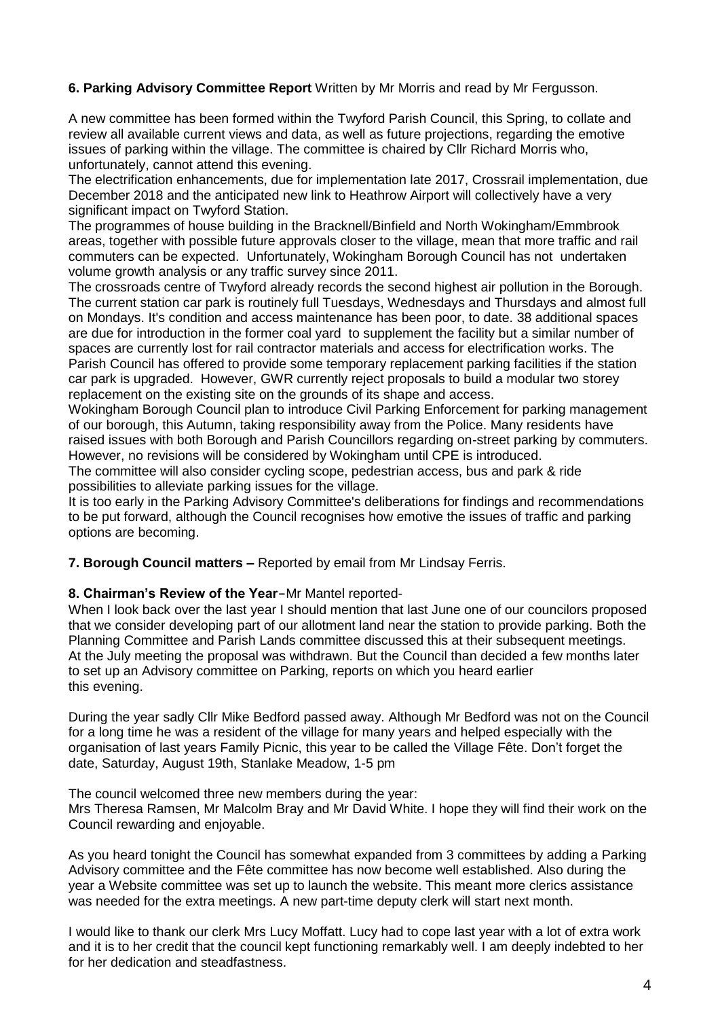# **6. Parking Advisory Committee Report** Written by Mr Morris and read by Mr Fergusson.

A new committee has been formed within the Twyford Parish Council, this Spring, to collate and review all available current views and data, as well as future projections, regarding the emotive issues of parking within the village. The committee is chaired by Cllr Richard Morris who, unfortunately, cannot attend this evening.

The electrification enhancements, due for implementation late 2017, Crossrail implementation, due December 2018 and the anticipated new link to Heathrow Airport will collectively have a very significant impact on Twyford Station.

The programmes of house building in the Bracknell/Binfield and North Wokingham/Emmbrook areas, together with possible future approvals closer to the village, mean that more traffic and rail commuters can be expected. Unfortunately, Wokingham Borough Council has not undertaken volume growth analysis or any traffic survey since 2011.

The crossroads centre of Twyford already records the second highest air pollution in the Borough. The current station car park is routinely full Tuesdays, Wednesdays and Thursdays and almost full on Mondays. It's condition and access maintenance has been poor, to date. 38 additional spaces are due for introduction in the former coal yard to supplement the facility but a similar number of spaces are currently lost for rail contractor materials and access for electrification works. The Parish Council has offered to provide some temporary replacement parking facilities if the station car park is upgraded. However, GWR currently reject proposals to build a modular two storey replacement on the existing site on the grounds of its shape and access.

Wokingham Borough Council plan to introduce Civil Parking Enforcement for parking management of our borough, this Autumn, taking responsibility away from the Police. Many residents have raised issues with both Borough and Parish Councillors regarding on-street parking by commuters. However, no revisions will be considered by Wokingham until CPE is introduced.

The committee will also consider cycling scope, pedestrian access, bus and park & ride possibilities to alleviate parking issues for the village.

It is too early in the Parking Advisory Committee's deliberations for findings and recommendations to be put forward, although the Council recognises how emotive the issues of traffic and parking options are becoming.

**7. Borough Council matters –** Reported by email from Mr Lindsay Ferris.

### **8. Chairman's Review of the Year-**Mr Mantel reported-

When I look back over the last year I should mention that last June one of our councilors proposed that we consider developing part of our allotment land near the station to provide parking. Both the Planning Committee and Parish Lands committee discussed this at their subsequent meetings. At the July meeting the proposal was withdrawn. But the Council than decided a few months later to set up an Advisory committee on Parking, reports on which you heard earlier this evening.

During the year sadly Cllr Mike Bedford passed away. Although Mr Bedford was not on the Council for a long time he was a resident of the village for many years and helped especially with the organisation of last years Family Picnic, this year to be called the Village Fête. Don't forget the date, Saturday, August 19th, Stanlake Meadow, 1-5 pm

The council welcomed three new members during the year:

Mrs Theresa Ramsen, Mr Malcolm Bray and Mr David White. I hope they will find their work on the Council rewarding and enjoyable.

As you heard tonight the Council has somewhat expanded from 3 committees by adding a Parking Advisory committee and the Fête committee has now become well established. Also during the year a Website committee was set up to launch the website. This meant more clerics assistance was needed for the extra meetings. A new part-time deputy clerk will start next month.

I would like to thank our clerk Mrs Lucy Moffatt. Lucy had to cope last year with a lot of extra work and it is to her credit that the council kept functioning remarkably well. I am deeply indebted to her for her dedication and steadfastness.